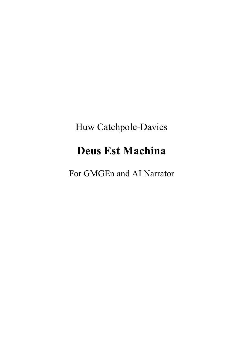# Huw Catchpole-Davies

# **Deus Est Machina**

For GMGEn and AI Narrator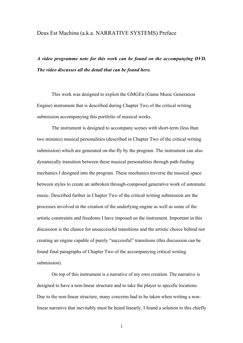#### Deus Est Machina (a.k.a. NARRATIVE SYSTEMS) Preface

*A video programme note for this work can be found on the accompanying DVD. The video discusses all the detail that can be found here.*

This work was designed to exploit the GMGEn (Game Music Generation Engine) instrument that is described during Chapter Two of the critical writing submission accompanying this portfolio of musical works.

The instrument is designed to accompany scenes with short-term (less than two minutes) musical personalities (described in Chapter Two of the critical writing submission) which are generated on-the-fly by the program. The instrument can also dynamically transition between these musical personalities through path-finding mechanics I designed into the program. These mechanics traverse the musical space between styles to create an unbroken through-composed generative work of automatic music. Described further in Chapter Two of the critical writing submission are the processes involved in the creation of the underlying engine as well as some of the artistic constraints and freedoms I have imposed on the instrument. Important in this discussion is the chance for unsuccessful transitions and the artistic choice behind not creating an engine capable of purely "successful" transitions (this discussion can be found final paragraphs of Chapter Two of the accompanying critical writing submission).

On top of this instrument is a narrative of my own creation. The narrative is designed to have a non-linear structure and to take the player to specific locations. Due to the non-linear structure, many concerns had to be taken when writing a nonlinear narrative that inevitably must be heard linearly. I found a solution to this chiefly

i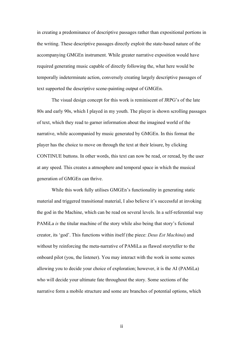in creating a predominance of descriptive passages rather than expositional portions in the writing. These descriptive passages directly exploit the state-based nature of the accompanying GMGEn instrument. While greater narrative exposition would have required generating music capable of directly following the, what here would be temporally indeterminate action, conversely creating largely descriptive passages of text supported the descriptive scene-painting output of GMGEn.

The visual design concept for this work is reminiscent of JRPG's of the late 80s and early 90s, which I played in my youth. The player is shown scrolling passages of text, which they read to garner information about the imagined world of the narrative, while accompanied by music generated by GMGEn. In this format the player has the choice to move on through the text at their leisure, by clicking CONTINUE buttons. In other words, this text can now be read, or reread, by the user at any speed. This creates a atmosphere and temporal space in which the musical generation of GMGEn can thrive.

While this work fully utilises GMGEn's functionality in generating static material and triggered transitional material, I also believe it's successful at invoking the god in the Machine, which can be read on several levels. In a self-referential way PAMiLa *is* the titular machine of the story while also being that story's fictional creator, its 'god'. This functions within itself (the piece: *Deus Est Machina*) and without by reinforcing the meta-narrative of PAMiLa as flawed storyteller to the onboard pilot (you, the listener). You may interact with the work in some scenes allowing you to decide your choice of exploration; however, it is the AI (PAMiLa) who will decide your ultimate fate throughout the story. Some sections of the narrative form a mobile structure and some are branches of potential options, which

ii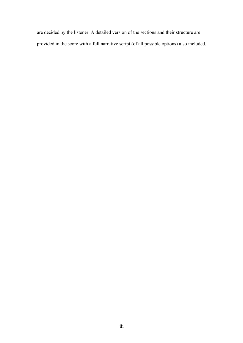are decided by the listener. A detailed version of the sections and their structure are provided in the score with a full narrative script (of all possible options) also included.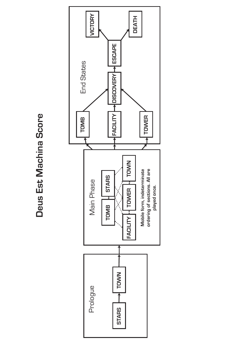# Deus Est Machina Score **Deus Est Machina Score**

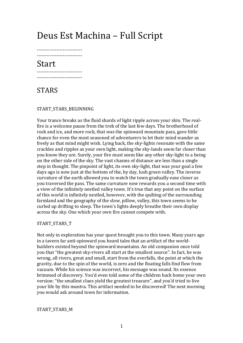## Deus Est Machina - Full Script

5555555555555555555555555555 5555555555555555555555555555

## Start

<mark>-------------------------</mark> <mark>-------------------------</mark>

## STARS

#### START\_STARS\_BEGINNING

Your trance breaks as the fluid shards of light ripple across your skin. The realfire is a welcome pause from the trek of the last few days. The brotherhood of rock and ice, and more rock, that was the spinward mountain pass, gave little chance for even the most seasoned of adventurers to let their mind wander as freely as that mind might wish. Lying back, the sky-lights resonate with the same crackles and ripples as your own light, making the sky-lands seem far closer than you know they are. Surely, your fire must seem like any other sky-light to a being on the other side of the sky. The vast chasms of distance are less than a single step in thought. The pinpoint of light, its own sky-light, that was your goal a few days ago is now just at the bottom of the, by day, lush green valley. The inverse curvature of the earth allowed you to watch the town gradually ease closer as you traversed the pass. The same curvature now rewards you a second time with a view of the infinitely nestled valley town. It's true that any point on the surface of this world is infinitely nestled, however, with the quilting of the surrounding farmland and the geography of the slow, pillow, valley, this town seems to be curled up drifting to sleep. The town's lights deeply breathe their own display across the sky. One which your own fire cannot compete with.

#### START\_STARS\_T

Not only in exploration has your quest brought you to this town. Many years ago in a tavern far anti-spinward you heard tales that an artifact of the worldbuilders existed beyond the spinward mountains. An old companion once told you that "the greatest sky-rivers all start at the smallest source". In fact, he was wrong, all rivers, great and small, start from the everfalls, the point at which the gravity, due to the spin of the world, is zero and the floating falls find flow from vacuum. While his science was incorrect, his message was sound. Its essence brimmed of discovery. You'd even told some of the children back home your own version: "the smallest clues yield the greatest treasure", and you'd tried to live your life by this mantra. This artifact needed to be discovered! The next morning you would ask around town for information.

#### START\_STARS\_M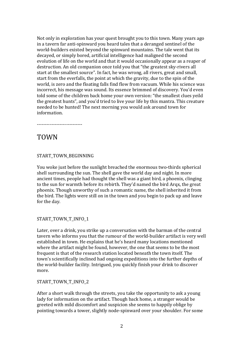Not only in exploration has your quest brought you to this town. Many years ago in a tavern far anti-spinward you heard tales that a deranged sentinel of the world-builders existed beyond the spinward mountains. The tale went that its decayed, or simply bored, artificial intelligence had maligned the second evolution of life on the world and that it would occasionally appear as a reaper of destruction. An old companion once told you that "the greatest sky-rivers all start at the smallest source". In fact, he was wrong, all rivers, great and small, start from the everfalls, the point at which the gravity, due to the spin of the world, is zero and the floating falls find flow from vacuum. While his science was incorrect, his message was sound. Its essence brimmed of discovery. You'd even told some of the children back home your own version: "the smallest clues yeild the greatest hunts", and you'd tried to live your life by this mantra. This creature needed to be hunted! The next morning you would ask around town for information.

5555555555555555555555555555

## TOWN

#### START\_TOWN\_BEGINNING

You woke just before the sunlight breached the enormous two-thirds spherical shell surrounding the sun. The shell gave the world day and night. In more ancient times, people had thought the shell was a giant bird, a phoenix, clinging to the sun for warmth before its rebirth. They'd named the bird Arqx, the great phoenix. Though unworthy of such a romantic name, the shell inherited it from the bird. The lights were still on in the town and you begin to pack up and leave for the day.

#### START\_TOWN\_T\_INFO\_1

Later, over a drink, you strike up a conversation with the barman of the central tavern who informs you that the rumour of the world-builder artifact is very well established in town. He explains that he's heard many locations mentioned where the artifact might be found, however, the one that seems to be the most frequent is that of the research station located beneath the town itself. The town's scientifically inclined had ongoing expeditions into the further depths of the world-builder facility. Intrigued, you quickly finish your drink to discover more.

#### START\_TOWN\_T\_INFO\_2

After a short walk through the streets, you take the opportunity to ask a young lady for information on the artifact. Though back home, a stranger would be greeted with mild discomfort and suspicion she seems to happily oblige by pointing towards a tower, slightly node-spinward over your shoulder. For some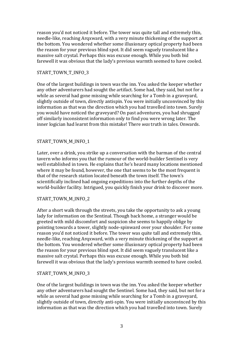reason you'd not noticed it before. The tower was quite tall and extremely thin, needle-like, reaching Arqxward, with a very minute thickening of the support at the bottom. You wondered whether some illusionary optical property had been the reason for your previous blind spot. It did seem vaguely translucent like a massive salt crystal. Perhaps this was excuse enough. While you both bid farewell it was obvious that the lady's previous warmth seemed to have cooled.

#### START\_TOWN\_T\_INFO\_3

One of the largest buildings in town was the inn. You asked the keeper whether any other adventurers had sought the artifact. Some had, they said, but not for a while as several had gone missing while searching for a Tomb in a graveyard, slightly outside of town, directly antispin. You were initially unconvinced by this information as that was the direction which you had travelled into town. Surely you would have noticed the graveyard? On past adventures, you had shrugged off similarly inconsistent information only to find you were wrong later. The inner logician had learnt from this mistake! There *was* truth in tales. Onwards.

#### START TOWN M INFO 1

Later, over a drink, you strike up a conversation with the barman of the central tavern who informs you that the rumour of the world-builder Sentinel is very well established in town. He explains that he's heard many locations mentioned where it may be found, however, the one that seems to be the most frequent is that of the research station located beneath the town itself. The town's scientifically inclined had ongoing expeditions into the further depths of the world-builder facility. Intrigued, you quickly finish your drink to discover more.

#### START TOWN M INFO 2

After a short walk through the streets, you take the opportunity to ask a young lady for information on the Sentinal. Though back home, a stranger would be greeted with mild discomfort and suspicion she seems to happily oblige by pointing towards a tower, slightly node-spinward over your shoulder. For some reason you'd not noticed it before. The tower was quite tall and extremely thin, needle-like, reaching Argxward, with a very minute thickening of the support at the bottom. You wondered whether some illusionary optical property had been the reason for your previous blind spot. It did seem vaguely translucent like a massive salt crystal. Perhaps this was excuse enough. While you both bid farewell it was obvious that the lady's previous warmth seemed to have cooled.

#### START\_TOWN\_M\_INFO\_3

One of the largest buildings in town was the inn. You asked the keeper whether any other adventurers had sought the Sentinel. Some had, they said, but not for a while as several had gone missing while searching for a Tomb in a graveyard, slightly outside of town, directly anti-spin. You were initially unconvinced by this information as that was the direction which you had travelled into town. Surely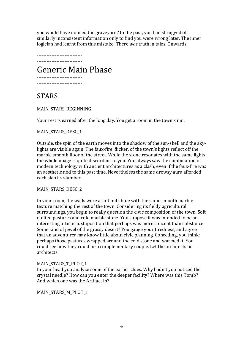you would have noticed the graveyard? In the past, you had shrugged off similarly inconsistent information only to find you were wrong later. The inner logician had learnt from this mistake! There *was* truth in tales. Onwards.

5555555555555555555555555555 5555555555555555555555555555

Generic!Main!Phase

<mark>-------------------------</mark> .......................

## STARS

MAIN\_STARS\_BEGINNING

Your rest is earned after the long day. You get a room in the town's inn.

#### MAIN\_STARS\_DESC\_1

Outside, the spin of the earth moves into the shadow of the sun-shell and the skylights are visible again. The faux-fire, flicker, of the town's lights reflect off the marble smooth floor of the street. While the stone resonates with the same lights the whole image is quite discordant to you. You always saw the combination of modern technology with ancient architectures as a clash, even if the faux-fire *was* an aesthetic nod to this past time. Nevertheless the same drowsy aura afforded each slab its slumber.

#### MAIN\_STARS\_DESC\_2

In your room, the walls were a soft milk blue with the same smooth marble texture matching the rest of the town. Considering its fieldy agricultural surroundings, you begin to really question the civic composition of the town. Soft quilted pastures and cold marble stone. You suppose it was intended to be an interesting artistic juxtaposition that perhaps was more concept than substance. Some kind of jewel of the grassy desert? You gauge your tiredness, and agree that an adventurer may know little about civic planning. Conceding, you think: perhaps those pastures wrapped around the cold stone and warmed it. You could see how they could be a complementary couple. Let the architects be architects.

#### MAIN STARS T PLOT 1

In your head you analyze some of the earlier clues. Why hadn't you noticed the crystal needle? How can you enter the deeper facility? Where was this Tomb? And which one was the Artifact in?

MAIN\_STARS\_M\_PLOT\_1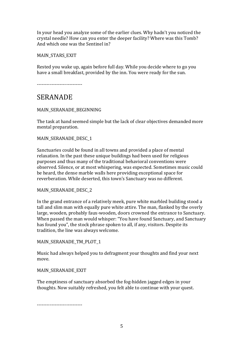In your head you analyze some of the earlier clues. Why hadn't you noticed the crystal needle? How can you enter the deeper facility? Where was this Tomb? And which one was the Sentinel in?

MAIN\_STARS\_EXIT

Rested you wake up, again before full day. While you decide where to go you have a small breakfast, provided by the inn. You were ready for the sun.

------------------------

### SERANADE

#### MAIN\_SERANADE\_BEGINNING

The task at hand seemed simple but the lack of clear objectives demanded more mental preparation.

#### MAIN\_SERANADE\_DESC\_1

Sanctuaries could be found in all towns and provided a place of mental relaxation. In the past these unique buildings had been used for religious purposes and thus many of the traditional behavioral conventions were observed. Silence, or at most whispering, was expected. Sometimes music could be heard, the dense marble walls here providing exceptional space for reverberation. While deserted, this town's Sanctuary was no different.

#### MAIN\_SERANADE\_DESC\_2

In the grand entrance of a relatively meek, pure white marbled building stood a tall and slim man with equally pure white attire. The man, flanked by the overly large, wooden, probably faux-wooden, doors crowned the entrance to Sanctuary. When passed the man would whisper: "You have found Sanctuary, and Sanctuary has found you", the stock phrase spoken to all, if any, visitors. Despite its tradition, the line was always welcome.

MAIN\_SERANADE\_TM\_PLOT\_1

Music had always helped you to defragment your thoughts and find your next move.

#### MAIN\_SERANADE\_EXIT

The emptiness of sanctuary absorbed the fog-hidden jagged edges in your thoughts. Now suitably refreshed, you felt able to continue with your quest.

5555555555555555555555555555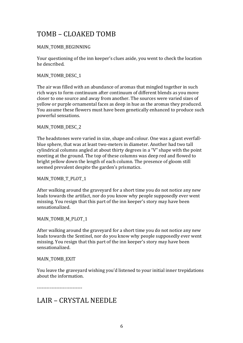## TOMB – CLOAKED!TOMB

#### MAIN TOMB BEGINNING

Your questioning of the inn keeper's clues aside, you went to check the location he described.

#### MAIN TOMB DESC 1

The air was filled with an abundance of aromas that mingled together in such rich ways to form continuum after continuum of different blends as you move closer to one source and away from another. The sources were varied sizes of yellow or purple ornamental faces as deep in hue as the aromas they produced. You assume these flowers must have been genetically enhanced to produce such powerful sensations.

#### MAIN\_TOMB\_DESC\_2

The headstones were varied in size, shape and colour. One was a giant everfallblue sphere, that was at least two-meters in diameter. Another had two tall cylindrical columns angled at about thirty degrees in a "V" shape with the point meeting at the ground. The top of these columns was deep red and flowed to bright yellow down the length of each column. The presence of gloom still seemed prevalent despite the garden's prismatics.

#### MAIN\_TOMB\_T\_PLOT\_1

After walking around the gravevard for a short time you do not notice any new leads towards the artifact, nor do you know why people supposedly ever went missing. You resign that this part of the inn keeper's story may have been sensationalized.

#### MAIN\_TOMB\_M\_PLOT\_1

After walking around the graveyard for a short time you do not notice any new leads towards the Sentinel, nor do you know why people supposedly ever went missing. You resign that this part of the inn keeper's story may have been sensationalized.

#### MAIN\_TOMB\_EXIT

You leave the graveyard wishing you'd listened to your initial inner trepidations about the information.

5555555555555555555555555555

## LAIR – CRYSTAL NEEDLE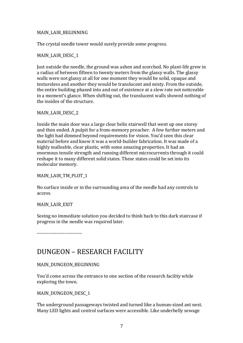#### MAIN\_LAIR\_BEGINNING

The crystal needle tower would surely provide some progress.

#### MAIN\_LAIR\_DESC\_1

Just outside the needle, the ground was ashen and scorched. No plant-life grew in a radius of between fifteen to twenty meters from the glassy walls. The glassy walls were not glassy at all for one moment they would be solid, opaque and textureless and another they would be translucent and misty. From the outside, the entire building phased into and out of existence at a slow rate not noticeable in a moment's glance. When shifting out, the translucent walls showed nothing of the insides of the structure.

#### MAIN\_LAIR\_DESC\_2

Inside the main door was a large clear helix stairwell that went up one storey and then ended. A pulpit for a from-memory preacher. A few further meters and the light had dimmed beyond requirements for vision. You'd seen this clear material before and knew it was a world-builder fabrication. It was made of a highly malleable, clear plastic, with some amazing properties. It had an enormous tensile strength and running different microcurrents through it could reshape it to many different solid states. These states could be set into its molecular memory.

#### MAIN\_LAIR\_TM\_PLOT\_1

No surface inside or in the surrounding area of the needle had any controls to access.

#### MAIN\_LAIR\_EXIT

Seeing no immediate solution you decided to think back to this dark staircase if progress in the needle was required later.

-----------------------

## DUNGEON – RESEARCH FACILITY

#### MAIN\_DUNGEON\_BEGINNING

You'd come across the entrance to one section of the research facility while exploring the town.

#### MAIN\_DUNGEON\_DESC\_1

The underground passageways twisted and turned like a human-sized ant nest. Many LED lights and control surfaces were accessible. Like underbelly sewage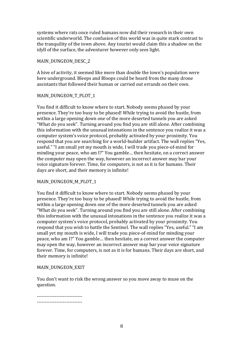systems where rats once ruled humans now did their research in their own scientific underworld. The confusion of this world was in quite stark contrast to the tranquility of the town above. Any tourist would claim this a shadow on the idyll of the surface, the adventurer however only sees light.

#### MAIN\_DUNGEON\_DESC\_2

A hive of activity, it seemed like more than double the town's population were here underground. Bleeps and Bloops could be heard from the many drone assistants that followed their human or carried out errands on their own.

#### MAIN\_DUNGEON\_T\_PLOT\_1

You find it difficult to know where to start. Nobody seems phased by your presence. They're too busy to be phased! While trying to avoid the hustle, from within a large opening down one of the more deserted tunnels you are asked "What do you seek". Turning around you find you are still alone. After combining this information with the unusual intonations in the sentence you realize it was a computer system's voice protocol, probably activated by your proximity. You respond that you are searching for a world-builder artifact. The wall replies "Yes, useful." "I am small yet my mouth is wide, I will trade you piece-of-mind for minding your peace, who am I?" You gamble... then hesitate, on a correct answer the computer may open the way, however an incorrect answer may bar your voice signature forever. Time, for computers, is not as it is for humans. Their days are short, and their memory is infinite!

#### MAIN\_DUNGEON\_M\_PLOT\_1

You find it difficult to know where to start. Nobody seems phased by your presence. They're too busy to be phased! While trying to avoid the hustle, from within a large opening down one of the more deserted tunnels you are asked "What do you seek". Turning around you find you are still alone. After combining this information with the unusual intonations in the sentence you realize it was a computer system's voice protocol, probably activated by your proximity. You respond that you wish to battle the Sentinel. The wall replies "Yes, useful." "I am small yet my mouth is wide, I will trade you piece-of-mind for minding your peace, who am I?" You gamble... then hesitate, on a correct answer the computer may open the way, however an incorrect answer may bar your voice signature forever. Time, for computers, is not as it is for humans. Their days are short, and their memory is infinite!

#### MAIN DUNGEON EXIT

You don't want to risk the wrong answer so you move away to muse on the question.

<mark>.........................</mark> <mark>-------------------------</mark>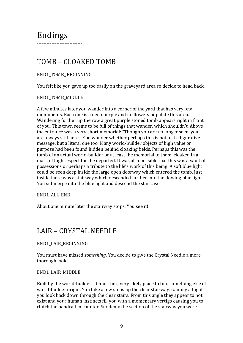## Endings

<mark>-------------------------</mark> <mark>-------------------------</mark>

## TOMB – CLOAKED!TOMB

#### END1\_TOMB\_ BEGINNING

You felt like you gave up too easily on the graveyard area so decide to head back.

#### END1\_TOMB\_MIDDLE

A few minutes later you wander into a corner of the yard that has very few monuments. Each one is a deep purple and no flowers populate this area. Wandering further up the row a great purple stoned tomb appears right in front of you. This town seems to be full of things that wander, which shouldn't. Above the entrance was a very short memorial: "Though you are no longer seen, you are always still here". You wonder whether perhaps this is not just a figurative message, but a literal one too. Many world-builder objects of high value or purpose had been found hidden behind cloaking fields. Perhaps this was the tomb of an actual world-builder or at least the memorial to them, cloaked in a mark of high respect for the departed. It was also possible that this was a vault of possessions or perhaps a tribute to the life's work of this being. A soft blue light could be seen deep inside the large open doorway which entered the tomb. Just inside there was a stairway which descended further into the flowing blue light. You submerge into the blue light and descend the staircase.

#### END1\_ALL\_END

About one minute later the stairway stops. You see it!

-------------------------

## LAIR – CRYSTAL!NEEDLE

END1\_LAIR\_BEGINNING

You must have missed *something*. You decide to give the Crystal Needle a more thorough look.

#### END1\_LAIR\_MIDDLE

Built by the world-builders it must be a very likely place to find something else of world-builder origin. You take a few steps up the clear stairway. Gaining a flight you look back down through the clear stairs. From this angle they appear to not exist and your human instincts fill you with a momentary vertigo causing you to clutch the handrail in counter. Suddenly the section of the stairway you were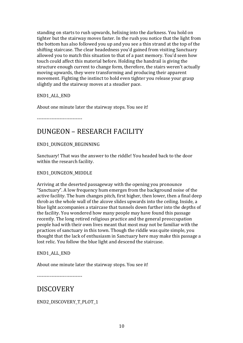standing on starts to rush upwards, helixing into the darkness. You hold on tighter but the stairway moves faster. In the rush you notice that the light from the bottom has also followed you up and you see a thin strand at the top of the shifting staircase. The clear headedness you'd gained from visiting Sanctuary allowed you to match this situation to that of a past memory. You'd seen how touch could affect this material before. Holding the handrail is giving the structure enough current to change form, therefore, the stairs weren't actually moving upwards, they were transforming and producing their apparent movement. Fighting the instinct to hold even tighter you release your grasp slightly and the stairway moves at a steadier pace.

END1\_ALL\_END

About one minute later the stairway stops. You see it!

5555555555555555555555555555

## DUNGEON – RESEARCH FACILITY

#### END1\_DUNGEON\_BEGINNING

Sanctuary! That was the answer to the riddle! You headed back to the door within the research facility.

#### END1\_DUNGEON\_MIDDLE

Arriving at the deserted passageway with the opening you pronounce "Sanctuary". A low frequency hum emerges from the background noise of the active facility. The hum changes pitch, first higher, then lower, then a final deep throb as the whole wall of the alcove slides upwards into the ceiling. Inside, a blue light accompanies a staircase that tunnels down further into the depths of the facility. You wondered how many people may have found this passage recently. The long retired religious practice and the general preoccupation people had with their own lives meant that most may not be familiar with the practices of sanctuary in this town. Though the riddle was quite simple, you thought that the lack of enthusiasm in Sanctuary here may make this passage a lost relic. You follow the blue light and descend the staircase.

#### END1\_ALL\_END

About one minute later the stairway stops. You see it!

5555555555555555555555555555

## **DISCOVERY**

END2\_DISCOVERY\_T\_PLOT\_1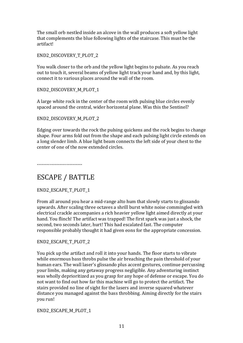The small orb nestled inside an alcove in the wall produces a soft yellow light that complements the blue following lights of the staircase. This must be the artifact!

END2\_DISCOVERY\_T\_PLOT\_2

You walk closer to the orb and the yellow light begins to pulsate. As you reach out to touch it, several beams of yellow light track your hand and, by this light, connect it to various places around the wall of the room.

END2\_DISCOVERY\_M\_PLOT\_1

A large white rock in the center of the room with pulsing blue circles evenly spaced around the central, wider horizontal plane. Was this the Sentinel?

END2\_DISCOVERY\_M\_PLOT\_2

Edging over towards the rock the pulsing quickens and the rock begins to change shape. Four arms fold out from the shape and each pulsing light circle extends on a long slender limb. A blue light beam connects the left side of your chest to the center of one of the now extended circles.

5555555555555555555555555555

## ESCAPE / BATTLE

END2\_ESCAPE\_T\_PLOT\_1

From all around you hear a mid-range alto hum that slowly starts to glissando upwards. After scaling three octaves a shrill burst white noise commingled with electrical crackle accompanies a rich heavier yellow light aimed directly at your hand. You flinch! The artifact was trapped! The first spark was just a shock, the second, two seconds later, hurt! This had escalated fast. The computer responsible probably thought it had given eons for the appropriate concession.

END2\_ESCAPE\_T\_PLOT\_2

You pick up the artifact and roll it into your hands. The floor starts to vibrate while enormous bass throbs pulse the air breaching the pain threshold of your human ears. The wall laser's glissando plus accent gestures, continue percussing your limbs, making any getaway progress negligible. Any adventuring instinct was wholly deprioritized as you grasp for any hope of defense or escape. You do not want to find out how far this machine will go to protect the artifact. The stairs provided no line of sight for the lasers and inverse squared whatever distance you managed against the bass throbbing. Aiming directly for the stairs you run!

END2\_ESCAPE\_M\_PLOT\_1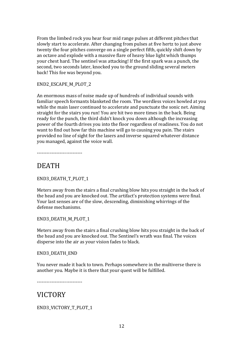From the limbed rock you hear four mid range pulses at different pitches that slowly start to accelerate. After changing from pulses at five hertz to just above twenty the four pitches converge on a single perfect fifth, quickly shift down by an octave and explode with a massive flare of heavy blue light which thumps your chest hard. The sentinel was attacking! If the first spark was a punch, the second, two seconds later, knocked you to the ground sliding several meters back! This foe was beyond you.

END2\_ESCAPE\_M\_PLOT\_2

An enormous mass of noise made up of hundreds of individual sounds with familiar speech formants blanketed the room. The wordless voices howled at you while the main laser continued to accelerate and punctuate the sonic net. Aiming straight for the stairs you run! You are hit two more times in the back. Being ready for the punch, the third didn't knock you down although the increasing power of the fourth drives you into the floor regardless of readiness. You do not want to find out how far this machine will go to causing you pain. The stairs provided no line of sight for the lasers and inverse squared whatever distance you managed, against the voice wall.

-----------------------

## DEATH

END3\_DEATH\_T\_PLOT\_1

Meters away from the stairs a final crushing blow hits you straight in the back of the head and you are knocked out. The artifact's protection systems were final. Your last senses are of the slow, descending, diminishing whirrings of the defense mechanisms.

END3\_DEATH\_M\_PLOT\_1

Meters away from the stairs a final crushing blow hits you straight in the back of the head and you are knocked out. The Sentinel's wrath was final. The voices disperse into the air as your vision fades to black.

#### END3\_DEATH\_END

You never made it back to town. Perhaps somewhere in the multiverse there is another you. Maybe it is there that your quest will be fulfilled.

5555555555555555555555555555

## VICTORY

END3\_VICTORY\_T\_PLOT\_1